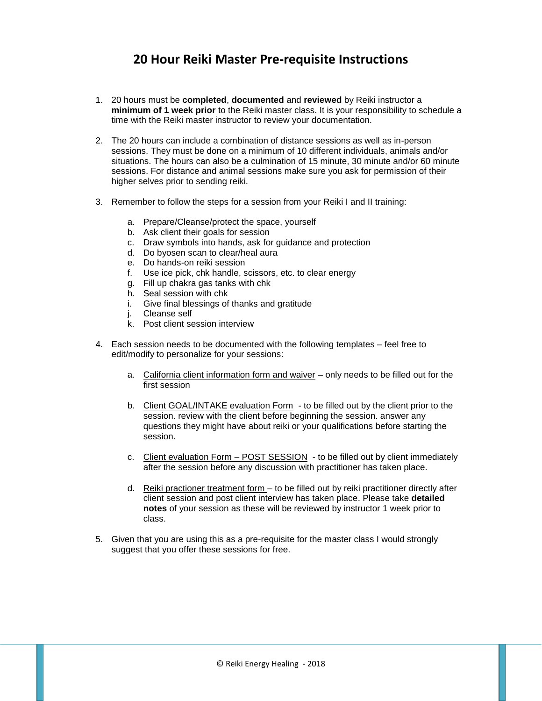## **20 Hour Reiki Master Pre-requisite Instructions**

- 1. 20 hours must be **completed**, **documented** and **reviewed** by Reiki instructor a **minimum of 1 week prior** to the Reiki master class. It is your responsibility to schedule a time with the Reiki master instructor to review your documentation.
- 2. The 20 hours can include a combination of distance sessions as well as in-person sessions. They must be done on a minimum of 10 different individuals, animals and/or situations. The hours can also be a culmination of 15 minute, 30 minute and/or 60 minute sessions. For distance and animal sessions make sure you ask for permission of their higher selves prior to sending reiki.
- 3. Remember to follow the steps for a session from your Reiki I and II training:
	- a. Prepare/Cleanse/protect the space, yourself
	- b. Ask client their goals for session
	- c. Draw symbols into hands, ask for guidance and protection
	- d. Do byosen scan to clear/heal aura
	- e. Do hands-on reiki session
	- f. Use ice pick, chk handle, scissors, etc. to clear energy
	- g. Fill up chakra gas tanks with chk
	- h. Seal session with chk
	- i. Give final blessings of thanks and gratitude
	- j. Cleanse self
	- k. Post client session interview
- 4. Each session needs to be documented with the following templates feel free to edit/modify to personalize for your sessions:
	- a. California client information form and waiver only needs to be filled out for the first session
	- b. Client GOAL/INTAKE evaluation Form to be filled out by the client prior to the session. review with the client before beginning the session. answer any questions they might have about reiki or your qualifications before starting the session.
	- c. Client evaluation Form POST SESSION to be filled out by client immediately after the session before any discussion with practitioner has taken place.
	- d. Reiki practioner treatment form to be filled out by reiki practitioner directly after client session and post client interview has taken place. Please take **detailed notes** of your session as these will be reviewed by instructor 1 week prior to class.
- 5. Given that you are using this as a pre-requisite for the master class I would strongly suggest that you offer these sessions for free.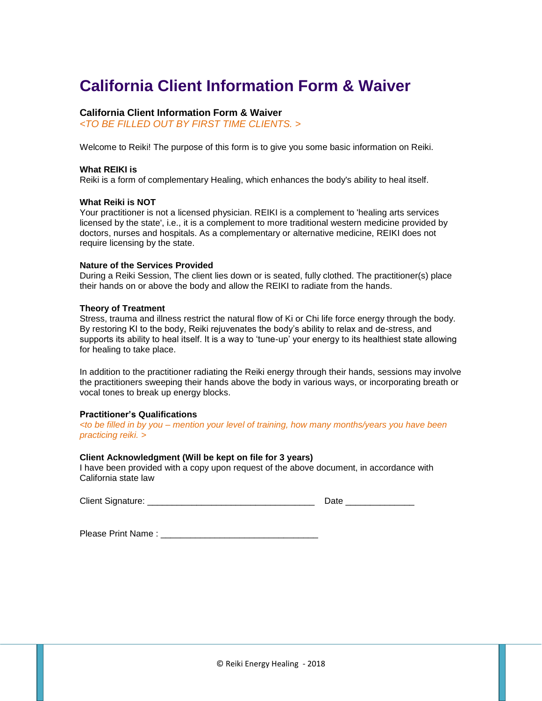## **California Client Information Form & Waiver**

#### **California Client Information Form & Waiver**

*<TO BE FILLED OUT BY FIRST TIME CLIENTS. >*

Welcome to Reiki! The purpose of this form is to give you some basic information on Reiki.

#### **What REIKI is**

Reiki is a form of complementary Healing, which enhances the body's ability to heal itself.

#### **What Reiki is NOT**

Your practitioner is not a licensed physician. REIKI is a complement to 'healing arts services licensed by the state', i.e., it is a complement to more traditional western medicine provided by doctors, nurses and hospitals. As a complementary or alternative medicine, REIKI does not require licensing by the state.

#### **Nature of the Services Provided**

During a Reiki Session, The client lies down or is seated, fully clothed. The practitioner(s) place their hands on or above the body and allow the REIKI to radiate from the hands.

#### **Theory of Treatment**

Stress, trauma and illness restrict the natural flow of Ki or Chi life force energy through the body. By restoring KI to the body, Reiki rejuvenates the body's ability to relax and de-stress, and supports its ability to heal itself. It is a way to 'tune-up' your energy to its healthiest state allowing for healing to take place.

In addition to the practitioner radiating the Reiki energy through their hands, sessions may involve the practitioners sweeping their hands above the body in various ways, or incorporating breath or vocal tones to break up energy blocks.

#### **Practitioner's Qualifications**

*<to be filled in by you – mention your level of training, how many months/years you have been practicing reiki. >*

#### **Client Acknowledgment (Will be kept on file for 3 years)**

I have been provided with a copy upon request of the above document, in accordance with California state law

Client Signature: \_\_\_\_\_\_\_\_\_\_\_\_\_\_\_\_\_\_\_\_\_\_\_\_\_\_\_\_\_\_\_\_\_\_ Date \_\_\_\_\_\_\_\_\_\_\_\_\_\_

Please Print Name :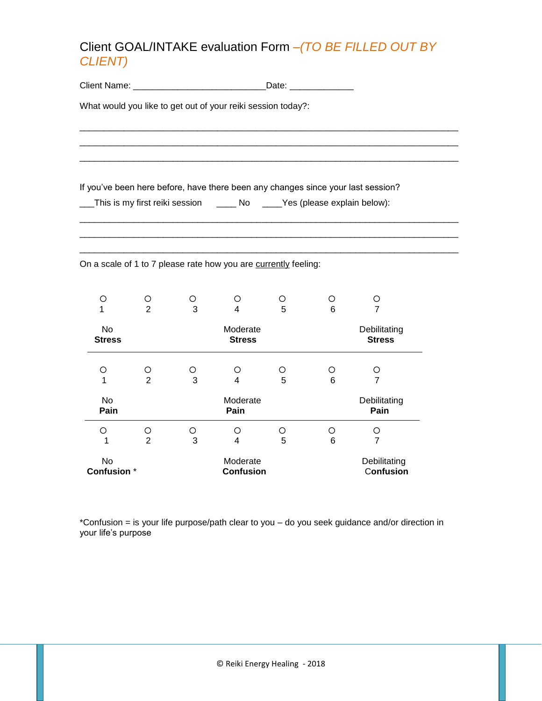## Client GOAL/INTAKE evaluation Form *–(TO BE FILLED OUT BY CLIENT)*

\_\_\_\_\_\_\_\_\_\_\_\_\_\_\_\_\_\_\_\_\_\_\_\_\_\_\_\_\_\_\_\_\_\_\_\_\_\_\_\_\_\_\_\_\_\_\_\_\_\_\_\_\_\_\_\_\_\_\_\_\_\_\_\_\_\_\_\_\_\_\_\_\_\_\_\_\_ \_\_\_\_\_\_\_\_\_\_\_\_\_\_\_\_\_\_\_\_\_\_\_\_\_\_\_\_\_\_\_\_\_\_\_\_\_\_\_\_\_\_\_\_\_\_\_\_\_\_\_\_\_\_\_\_\_\_\_\_\_\_\_\_\_\_\_\_\_\_\_\_\_\_\_\_\_ \_\_\_\_\_\_\_\_\_\_\_\_\_\_\_\_\_\_\_\_\_\_\_\_\_\_\_\_\_\_\_\_\_\_\_\_\_\_\_\_\_\_\_\_\_\_\_\_\_\_\_\_\_\_\_\_\_\_\_\_\_\_\_\_\_\_\_\_\_\_\_\_\_\_\_\_\_

\_\_\_\_\_\_\_\_\_\_\_\_\_\_\_\_\_\_\_\_\_\_\_\_\_\_\_\_\_\_\_\_\_\_\_\_\_\_\_\_\_\_\_\_\_\_\_\_\_\_\_\_\_\_\_\_\_\_\_\_\_\_\_\_\_\_\_\_\_\_\_\_\_\_\_\_\_ \_\_\_\_\_\_\_\_\_\_\_\_\_\_\_\_\_\_\_\_\_\_\_\_\_\_\_\_\_\_\_\_\_\_\_\_\_\_\_\_\_\_\_\_\_\_\_\_\_\_\_\_\_\_\_\_\_\_\_\_\_\_\_\_\_\_\_\_\_\_\_\_\_\_\_\_\_

Client Name: \_\_\_\_\_\_\_\_\_\_\_\_\_\_\_\_\_\_\_\_\_\_\_\_\_\_\_Date: \_\_\_\_\_\_\_\_\_\_\_\_\_

What would you like to get out of your reiki session today?:

If you've been here before, have there been any changes since your last session?

\_\_\_This is my first reiki session \_\_\_\_ No \_\_\_\_Yes (please explain below):

On a scale of 1 to 7 please rate how you are currently feeling:

\_\_\_\_\_\_\_\_\_\_\_\_\_\_\_\_\_\_\_\_\_\_\_\_\_\_\_\_\_\_\_\_\_\_\_\_\_\_\_\_\_\_\_\_\_\_\_\_\_\_\_\_\_\_\_\_\_\_\_\_\_\_\_\_\_\_\_\_\_\_\_\_\_\_\_\_\_

| Ω<br>1                          | ∩<br>2              | ∩<br>3 | ∩<br>4                        | 5      | 6                         |        |
|---------------------------------|---------------------|--------|-------------------------------|--------|---------------------------|--------|
| No<br><b>Stress</b>             |                     |        | Debilitating<br><b>Stress</b> |        |                           |        |
| Ω<br>1                          | O<br>$\overline{2}$ | ∩<br>3 | ∩<br>4                        | ∩<br>5 | Ω<br>6                    | ∩<br>7 |
| <b>No</b><br>Pain               |                     |        | Debilitating<br>Pain          |        |                           |        |
| ∩<br>1                          | ∩<br>$\overline{2}$ | ∩<br>3 | ∩<br>4                        | 5      | ∩<br>6                    | 7      |
| <b>No</b><br><b>Confusion</b> * |                     |        | Moderate<br><b>Confusion</b>  |        | Debilitating<br>Confusion |        |

\*Confusion = is your life purpose/path clear to you – do you seek guidance and/or direction in your life's purpose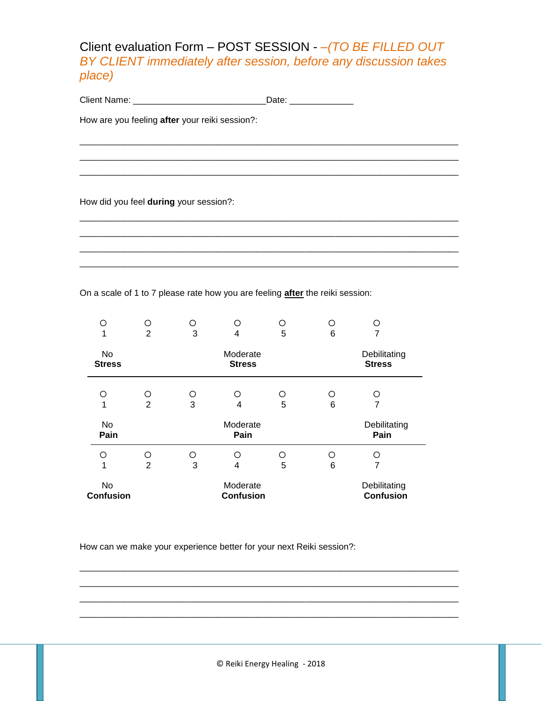### Client evaluation Form – POST SESSION - *–(TO BE FILLED OUT BY CLIENT immediately after session, before any discussion takes place)*

\_\_\_\_\_\_\_\_\_\_\_\_\_\_\_\_\_\_\_\_\_\_\_\_\_\_\_\_\_\_\_\_\_\_\_\_\_\_\_\_\_\_\_\_\_\_\_\_\_\_\_\_\_\_\_\_\_\_\_\_\_\_\_\_\_\_\_\_\_\_\_\_\_\_\_\_\_ \_\_\_\_\_\_\_\_\_\_\_\_\_\_\_\_\_\_\_\_\_\_\_\_\_\_\_\_\_\_\_\_\_\_\_\_\_\_\_\_\_\_\_\_\_\_\_\_\_\_\_\_\_\_\_\_\_\_\_\_\_\_\_\_\_\_\_\_\_\_\_\_\_\_\_\_\_ \_\_\_\_\_\_\_\_\_\_\_\_\_\_\_\_\_\_\_\_\_\_\_\_\_\_\_\_\_\_\_\_\_\_\_\_\_\_\_\_\_\_\_\_\_\_\_\_\_\_\_\_\_\_\_\_\_\_\_\_\_\_\_\_\_\_\_\_\_\_\_\_\_\_\_\_\_

\_\_\_\_\_\_\_\_\_\_\_\_\_\_\_\_\_\_\_\_\_\_\_\_\_\_\_\_\_\_\_\_\_\_\_\_\_\_\_\_\_\_\_\_\_\_\_\_\_\_\_\_\_\_\_\_\_\_\_\_\_\_\_\_\_\_\_\_\_\_\_\_\_\_\_\_\_ \_\_\_\_\_\_\_\_\_\_\_\_\_\_\_\_\_\_\_\_\_\_\_\_\_\_\_\_\_\_\_\_\_\_\_\_\_\_\_\_\_\_\_\_\_\_\_\_\_\_\_\_\_\_\_\_\_\_\_\_\_\_\_\_\_\_\_\_\_\_\_\_\_\_\_\_\_ \_\_\_\_\_\_\_\_\_\_\_\_\_\_\_\_\_\_\_\_\_\_\_\_\_\_\_\_\_\_\_\_\_\_\_\_\_\_\_\_\_\_\_\_\_\_\_\_\_\_\_\_\_\_\_\_\_\_\_\_\_\_\_\_\_\_\_\_\_\_\_\_\_\_\_\_\_ \_\_\_\_\_\_\_\_\_\_\_\_\_\_\_\_\_\_\_\_\_\_\_\_\_\_\_\_\_\_\_\_\_\_\_\_\_\_\_\_\_\_\_\_\_\_\_\_\_\_\_\_\_\_\_\_\_\_\_\_\_\_\_\_\_\_\_\_\_\_\_\_\_\_\_\_\_

Client Name: \_\_\_\_\_\_\_\_\_\_\_\_\_\_\_\_\_\_\_\_\_\_\_\_\_\_\_Date: \_\_\_\_\_\_\_\_\_\_\_\_\_

How are you feeling **after** your reiki session?:

How did you feel **during** your session?:

On a scale of 1 to 7 please rate how you are feeling **after** the reiki session:

| ∩                             | О              | ∩ | ∩                             | ◯ | ∩ | ∩ |
|-------------------------------|----------------|---|-------------------------------|---|---|---|
| 1                             | $\overline{2}$ | 3 | 4                             | 5 | 6 | 7 |
| No<br><b>Stress</b>           |                |   | Debilitating<br><b>Stress</b> |   |   |   |
| O                             | O              | O | O                             | ∩ | Ο | ∩ |
| 1                             | $\overline{2}$ | 3 | 4                             | 5 | 6 | 7 |
| No<br>Pain                    |                |   | Debilitating<br>Pain          |   |   |   |
| ∩                             | O              | ∩ | ∩                             | ∩ | ∩ | ∩ |
| 1                             | $\overline{2}$ | 3 | 4                             | 5 | 6 | 7 |
| <b>No</b><br><b>Confusion</b> |                |   | Debilitating<br>Confusion     |   |   |   |

How can we make your experience better for your next Reiki session?:

\_\_\_\_\_\_\_\_\_\_\_\_\_\_\_\_\_\_\_\_\_\_\_\_\_\_\_\_\_\_\_\_\_\_\_\_\_\_\_\_\_\_\_\_\_\_\_\_\_\_\_\_\_\_\_\_\_\_\_\_\_\_\_\_\_\_\_\_\_\_\_\_\_\_\_\_\_ \_\_\_\_\_\_\_\_\_\_\_\_\_\_\_\_\_\_\_\_\_\_\_\_\_\_\_\_\_\_\_\_\_\_\_\_\_\_\_\_\_\_\_\_\_\_\_\_\_\_\_\_\_\_\_\_\_\_\_\_\_\_\_\_\_\_\_\_\_\_\_\_\_\_\_\_\_ \_\_\_\_\_\_\_\_\_\_\_\_\_\_\_\_\_\_\_\_\_\_\_\_\_\_\_\_\_\_\_\_\_\_\_\_\_\_\_\_\_\_\_\_\_\_\_\_\_\_\_\_\_\_\_\_\_\_\_\_\_\_\_\_\_\_\_\_\_\_\_\_\_\_\_\_\_ \_\_\_\_\_\_\_\_\_\_\_\_\_\_\_\_\_\_\_\_\_\_\_\_\_\_\_\_\_\_\_\_\_\_\_\_\_\_\_\_\_\_\_\_\_\_\_\_\_\_\_\_\_\_\_\_\_\_\_\_\_\_\_\_\_\_\_\_\_\_\_\_\_\_\_\_\_